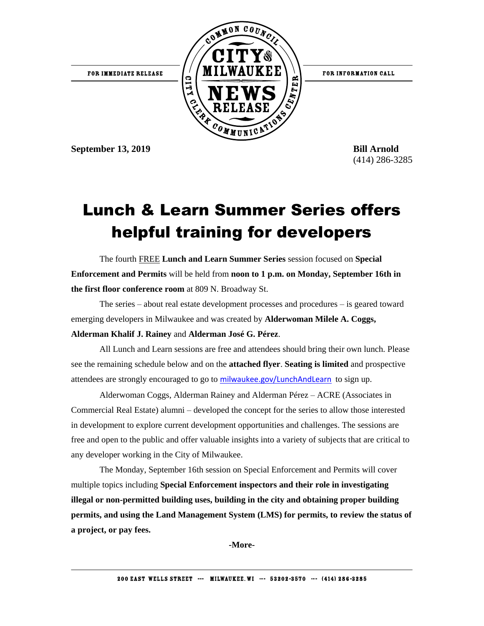

**September 13, 2019 Bill Arnold**

(414) 286-3285

## Lunch & Learn Summer Series offers helpful training for developers

The fourth FREE **Lunch and Learn Summer Series** session focused on **Special Enforcement and Permits** will be held from **noon to 1 p.m. on Monday, September 16th in the first floor conference room** at 809 N. Broadway St.

The series – about real estate development processes and procedures – is geared toward emerging developers in Milwaukee and was created by **Alderwoman Milele A. Coggs, Alderman Khalif J. Rainey** and **Alderman José G. Pérez**.

All Lunch and Learn sessions are free and attendees should bring their own lunch. Please see the remaining schedule below and on the **attached flyer**. **Seating is limited** and prospective attendees are strongly encouraged to go to [milwaukee.gov/LunchAndLearn](http://city.milwaukee.gov/LunchAndLearn) to sign up.

Alderwoman Coggs, Alderman Rainey and Alderman Pérez – ACRE (Associates in Commercial Real Estate) alumni – developed the concept for the series to allow those interested in development to explore current development opportunities and challenges. The sessions are free and open to the public and offer valuable insights into a variety of subjects that are critical to any developer working in the City of Milwaukee.

The Monday, September 16th session on Special Enforcement and Permits will cover multiple topics including **Special Enforcement inspectors and their role in investigating illegal or non-permitted building uses, building in the city and obtaining proper building permits, and using the Land Management System (LMS) for permits, to review the status of a project, or pay fees.**

**-More-**